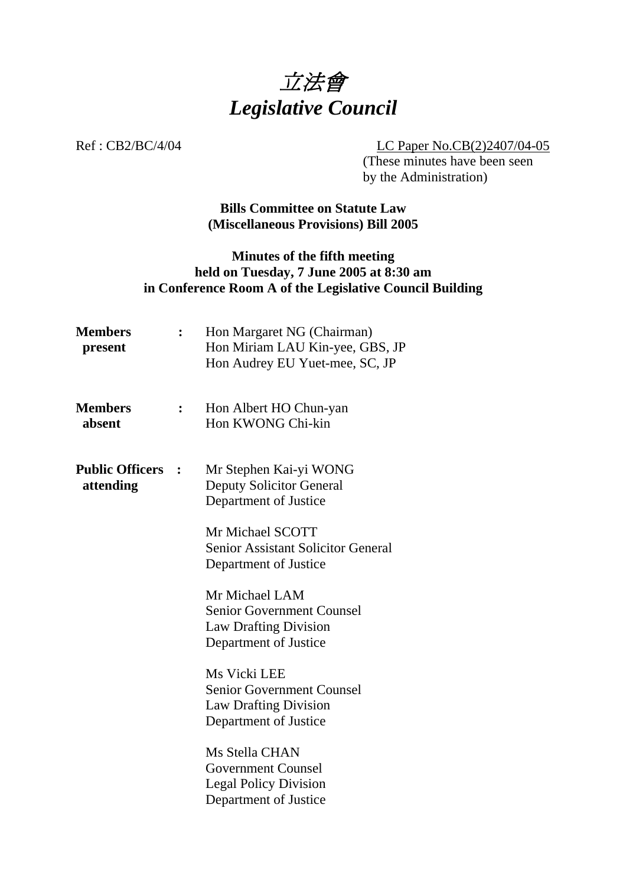

Ref : CB2/BC/4/04 LC Paper No.CB(2)2407/04-05

 (These minutes have been seen by the Administration)

### **Bills Committee on Statute Law (Miscellaneous Provisions) Bill 2005**

## **Minutes of the fifth meeting held on Tuesday, 7 June 2005 at 8:30 am in Conference Room A of the Legislative Council Building**

| <b>Members</b><br>present           |                | Hon Margaret NG (Chairman)<br>Hon Miriam LAU Kin-yee, GBS, JP<br>Hon Audrey EU Yuet-mee, SC, JP           |
|-------------------------------------|----------------|-----------------------------------------------------------------------------------------------------------|
| <b>Members</b><br>absent            | $\ddot{\cdot}$ | Hon Albert HO Chun-yan<br>Hon KWONG Chi-kin                                                               |
| <b>Public Officers</b><br>attending | $\ddot{\cdot}$ | Mr Stephen Kai-yi WONG<br><b>Deputy Solicitor General</b><br>Department of Justice                        |
|                                     |                | Mr Michael SCOTT<br><b>Senior Assistant Solicitor General</b><br>Department of Justice                    |
|                                     |                | Mr Michael LAM<br><b>Senior Government Counsel</b><br>Law Drafting Division<br>Department of Justice      |
|                                     |                | Ms Vicki LEE<br><b>Senior Government Counsel</b><br><b>Law Drafting Division</b><br>Department of Justice |
|                                     |                | Ms Stella CHAN<br><b>Government Counsel</b><br><b>Legal Policy Division</b><br>Department of Justice      |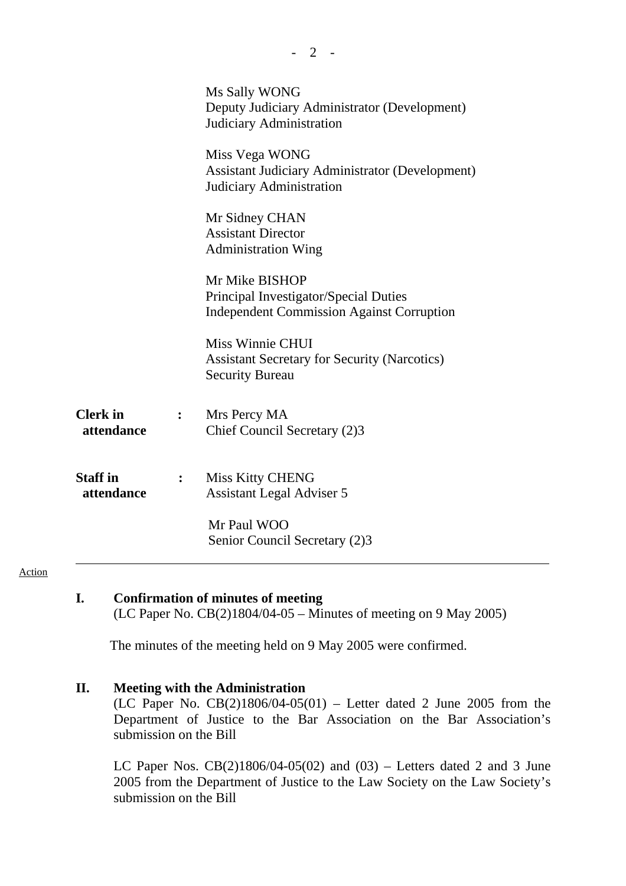|                               |                | Ms Sally WONG<br>Deputy Judiciary Administrator (Development)<br>Judiciary Administration                   |
|-------------------------------|----------------|-------------------------------------------------------------------------------------------------------------|
|                               |                | Miss Vega WONG<br><b>Assistant Judiciary Administrator (Development)</b><br>Judiciary Administration        |
|                               |                | Mr Sidney CHAN<br><b>Assistant Director</b><br><b>Administration Wing</b>                                   |
|                               |                | Mr Mike BISHOP<br>Principal Investigator/Special Duties<br><b>Independent Commission Against Corruption</b> |
|                               |                | Miss Winnie CHUI<br><b>Assistant Secretary for Security (Narcotics)</b><br><b>Security Bureau</b>           |
| <b>Clerk</b> in<br>attendance |                | Mrs Percy MA<br>Chief Council Secretary (2)3                                                                |
| <b>Staff</b> in<br>attendance | $\ddot{\cdot}$ | <b>Miss Kitty CHENG</b><br><b>Assistant Legal Adviser 5</b><br>Mr Paul WOO                                  |
|                               |                | Senior Council Secretary (2)3                                                                               |

 $- 2 -$ 

#### Action

### **I. Confirmation of minutes of meeting**

(LC Paper No. CB(2)1804/04-05 – Minutes of meeting on 9 May 2005)

The minutes of the meeting held on 9 May 2005 were confirmed.

#### **II. Meeting with the Administration**

(LC Paper No.  $CB(2)1806/04-05(01)$  – Letter dated 2 June 2005 from the Department of Justice to the Bar Association on the Bar Association's submission on the Bill

LC Paper Nos.  $CB(2)1806/04-05(02)$  and  $(03)$  – Letters dated 2 and 3 June 2005 from the Department of Justice to the Law Society on the Law Society's submission on the Bill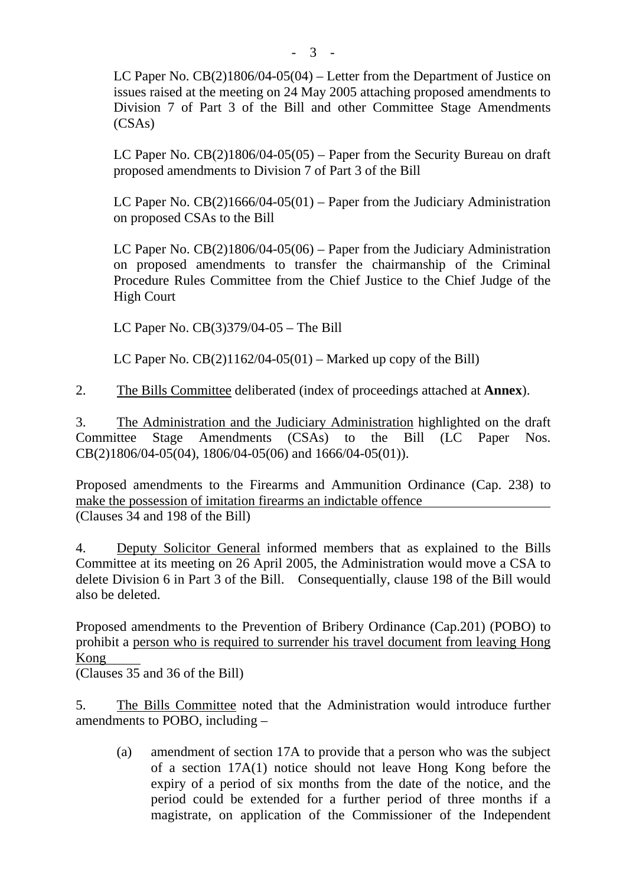LC Paper No. CB(2)1806/04-05(04) – Letter from the Department of Justice on issues raised at the meeting on 24 May 2005 attaching proposed amendments to Division 7 of Part 3 of the Bill and other Committee Stage Amendments (CSAs)

LC Paper No.  $CB(2)1806/04-05(05)$  – Paper from the Security Bureau on draft proposed amendments to Division 7 of Part 3 of the Bill

LC Paper No.  $CB(2)1666/04-05(01)$  – Paper from the Judiciary Administration on proposed CSAs to the Bill

LC Paper No. CB(2)1806/04-05(06) – Paper from the Judiciary Administration on proposed amendments to transfer the chairmanship of the Criminal Procedure Rules Committee from the Chief Justice to the Chief Judge of the High Court

LC Paper No. CB(3)379/04-05 – The Bill

LC Paper No.  $CB(2)1162/04-05(01)$  – Marked up copy of the Bill)

2. The Bills Committee deliberated (index of proceedings attached at **Annex**).

3. The Administration and the Judiciary Administration highlighted on the draft Committee Stage Amendments (CSAs) to the Bill (LC Paper Nos. CB(2)1806/04-05(04), 1806/04-05(06) and 1666/04-05(01)).

Proposed amendments to the Firearms and Ammunition Ordinance (Cap. 238) to make the possession of imitation firearms an indictable offence (Clauses 34 and 198 of the Bill)

4. Deputy Solicitor General informed members that as explained to the Bills Committee at its meeting on 26 April 2005, the Administration would move a CSA to delete Division 6 in Part 3 of the Bill. Consequentially, clause 198 of the Bill would also be deleted.

Proposed amendments to the Prevention of Bribery Ordinance (Cap.201) (POBO) to prohibit a person who is required to surrender his travel document from leaving Hong Kong

(Clauses 35 and 36 of the Bill)

5. The Bills Committee noted that the Administration would introduce further amendments to POBO, including –

(a) amendment of section 17A to provide that a person who was the subject of a section 17A(1) notice should not leave Hong Kong before the expiry of a period of six months from the date of the notice, and the period could be extended for a further period of three months if a magistrate, on application of the Commissioner of the Independent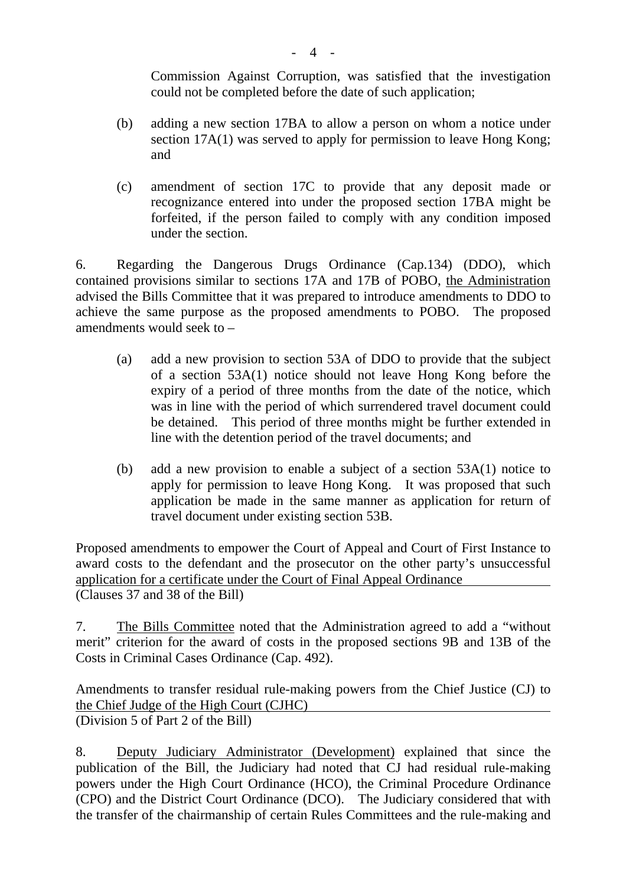Commission Against Corruption, was satisfied that the investigation could not be completed before the date of such application;

- (b) adding a new section 17BA to allow a person on whom a notice under section 17A(1) was served to apply for permission to leave Hong Kong; and
- (c) amendment of section 17C to provide that any deposit made or recognizance entered into under the proposed section 17BA might be forfeited, if the person failed to comply with any condition imposed under the section.

6. Regarding the Dangerous Drugs Ordinance (Cap.134) (DDO), which contained provisions similar to sections 17A and 17B of POBO, the Administration advised the Bills Committee that it was prepared to introduce amendments to DDO to achieve the same purpose as the proposed amendments to POBO. The proposed amendments would seek to –

- (a) add a new provision to section 53A of DDO to provide that the subject of a section 53A(1) notice should not leave Hong Kong before the expiry of a period of three months from the date of the notice, which was in line with the period of which surrendered travel document could be detained. This period of three months might be further extended in line with the detention period of the travel documents; and
- (b) add a new provision to enable a subject of a section 53A(1) notice to apply for permission to leave Hong Kong. It was proposed that such application be made in the same manner as application for return of travel document under existing section 53B.

Proposed amendments to empower the Court of Appeal and Court of First Instance to award costs to the defendant and the prosecutor on the other party's unsuccessful application for a certificate under the Court of Final Appeal Ordinance (Clauses 37 and 38 of the Bill)

7. The Bills Committee noted that the Administration agreed to add a "without merit" criterion for the award of costs in the proposed sections 9B and 13B of the Costs in Criminal Cases Ordinance (Cap. 492).

Amendments to transfer residual rule-making powers from the Chief Justice (CJ) to the Chief Judge of the High Court (CJHC) (Division 5 of Part 2 of the Bill)

8. Deputy Judiciary Administrator (Development) explained that since the publication of the Bill, the Judiciary had noted that CJ had residual rule-making powers under the High Court Ordinance (HCO), the Criminal Procedure Ordinance (CPO) and the District Court Ordinance (DCO). The Judiciary considered that with the transfer of the chairmanship of certain Rules Committees and the rule-making and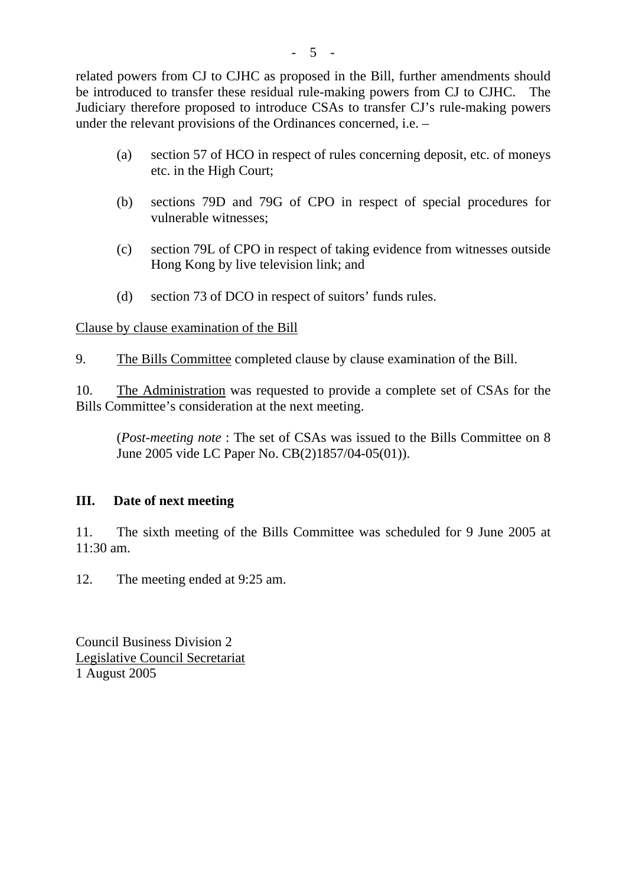related powers from CJ to CJHC as proposed in the Bill, further amendments should be introduced to transfer these residual rule-making powers from CJ to CJHC. The Judiciary therefore proposed to introduce CSAs to transfer CJ's rule-making powers under the relevant provisions of the Ordinances concerned, i.e. –

- (a) section 57 of HCO in respect of rules concerning deposit, etc. of moneys etc. in the High Court;
- (b) sections 79D and 79G of CPO in respect of special procedures for vulnerable witnesses;
- (c) section 79L of CPO in respect of taking evidence from witnesses outside Hong Kong by live television link; and
- (d) section 73 of DCO in respect of suitors' funds rules.

Clause by clause examination of the Bill

9. The Bills Committee completed clause by clause examination of the Bill.

10. The Administration was requested to provide a complete set of CSAs for the Bills Committee's consideration at the next meeting.

(*Post-meeting note* : The set of CSAs was issued to the Bills Committee on 8 June 2005 vide LC Paper No. CB(2)1857/04-05(01)).

# **III. Date of next meeting**

11. The sixth meeting of the Bills Committee was scheduled for 9 June 2005 at 11:30 am.

12. The meeting ended at 9:25 am.

Council Business Division 2 Legislative Council Secretariat 1 August 2005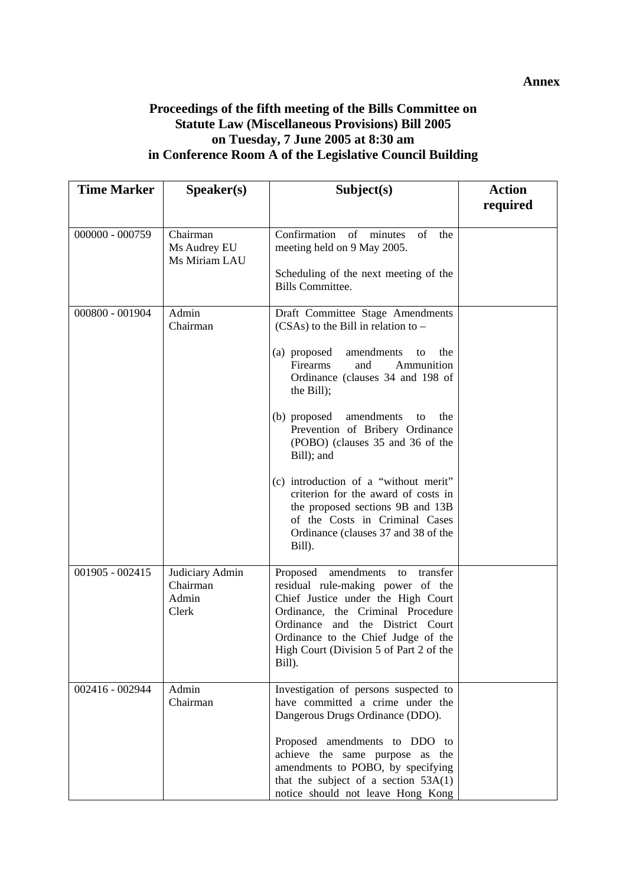#### **Annex**

## **Proceedings of the fifth meeting of the Bills Committee on Statute Law (Miscellaneous Provisions) Bill 2005 on Tuesday, 7 June 2005 at 8:30 am in Conference Room A of the Legislative Council Building**

| <b>Time Marker</b> | S <sub>p</sub> eaker(s)                       | Subject(s)                                                                                                                                                                                                                                                                                                                                                                                                                                                                                                                                     | <b>Action</b><br>required |
|--------------------|-----------------------------------------------|------------------------------------------------------------------------------------------------------------------------------------------------------------------------------------------------------------------------------------------------------------------------------------------------------------------------------------------------------------------------------------------------------------------------------------------------------------------------------------------------------------------------------------------------|---------------------------|
|                    |                                               |                                                                                                                                                                                                                                                                                                                                                                                                                                                                                                                                                |                           |
| 000000 - 000759    | Chairman<br>Ms Audrey EU<br>Ms Miriam LAU     | Confirmation<br>of minutes<br>of<br>the<br>meeting held on 9 May 2005.<br>Scheduling of the next meeting of the<br><b>Bills Committee.</b>                                                                                                                                                                                                                                                                                                                                                                                                     |                           |
| 000800 - 001904    | Admin<br>Chairman                             | Draft Committee Stage Amendments<br>$(CSAs)$ to the Bill in relation to –<br>(a) proposed<br>amendments<br>to<br>the<br>Firearms<br>Ammunition<br>and<br>Ordinance (clauses 34 and 198 of<br>the Bill);<br>amendments<br>(b) proposed<br>to<br>the<br>Prevention of Bribery Ordinance<br>(POBO) (clauses 35 and 36 of the<br>Bill); and<br>(c) introduction of a "without merit"<br>criterion for the award of costs in<br>the proposed sections 9B and 13B<br>of the Costs in Criminal Cases<br>Ordinance (clauses 37 and 38 of the<br>Bill). |                           |
| $001905 - 002415$  | Judiciary Admin<br>Chairman<br>Admin<br>Clerk | amendments<br>Proposed<br>to<br>transfer<br>residual rule-making power of the<br>Chief Justice under the High Court<br>Ordinance, the Criminal Procedure<br>Ordinance<br>and the District Court<br>Ordinance to the Chief Judge of the<br>High Court (Division 5 of Part 2 of the<br>Bill).                                                                                                                                                                                                                                                    |                           |
| 002416 - 002944    | Admin<br>Chairman                             | Investigation of persons suspected to<br>have committed a crime under the<br>Dangerous Drugs Ordinance (DDO).<br>Proposed amendments to DDO to<br>achieve the same purpose as the<br>amendments to POBO, by specifying<br>that the subject of a section $53A(1)$<br>notice should not leave Hong Kong                                                                                                                                                                                                                                          |                           |